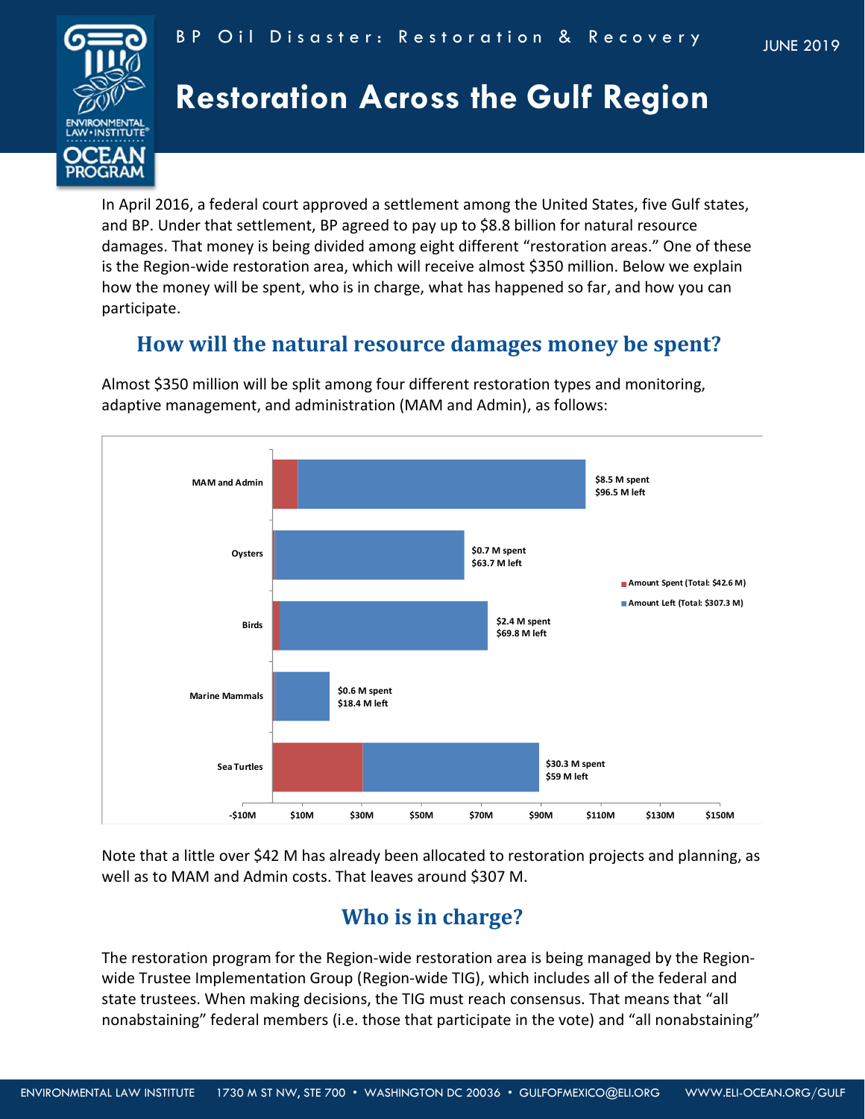



# **Restoration Across the Gulf Region**

In April 2016, a federal court approved a settlement among the United States, five Gulf states, and BP. Under that settlement, BP agreed to pay up to \$8.8 billion for natural resource damages. That money is being divided among eight different "restoration areas." One of these is the Region-wide restoration area, which will receive almost \$350 million. Below we explain how the money will be spent, who is in charge, what has happened so far, and how you can participate.

# **How will the natural resource damages money be spent?**

Almost \$350 million will be split among four different restoration types and monitoring, adaptive management, and administration (MAM and Admin), as follows:



Note that a little over \$42 M has already been allocated to restoration projects and planning, as well as to MAM and Admin costs. That leaves around \$307 M.

# **Who is in charge?**

The restoration program for the Region-wide restoration area is being managed by the Regionwide Trustee Implementation Group (Region-wide TIG), which includes all of the federal and state trustees. When making decisions, the TIG must reach consensus. That means that "all nonabstaining" federal members (i.e. those that participate in the vote) and "all nonabstaining"